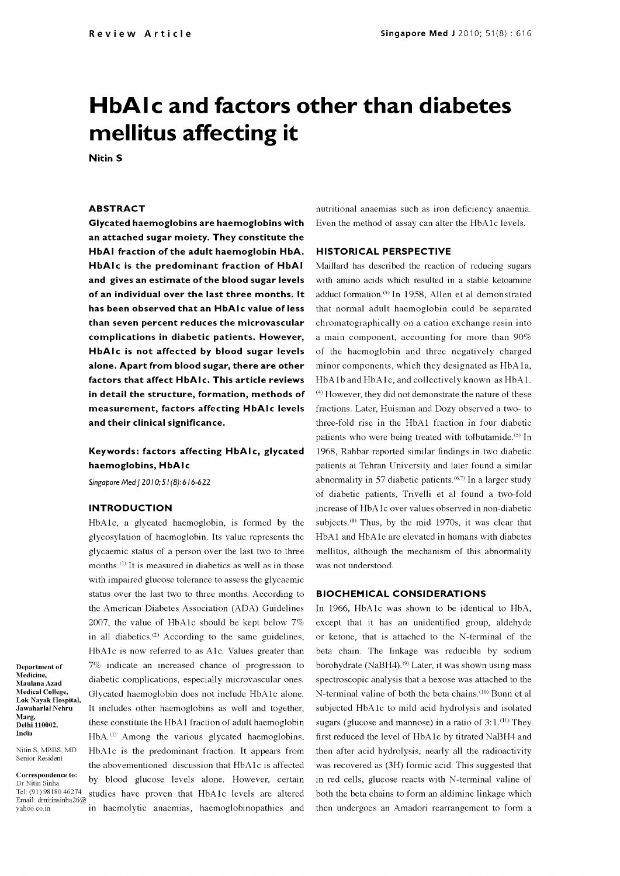# HbAIc and factors other than diabetes mellitus affecting it

Nitin <sup>S</sup>

### ABSTRACT

Glycated haemoglobins are haemoglobins with an attached sugar moiety. They constitute the HbAI fraction of the adult haemoglobin HbA. HbAlc is the predominant fraction of HbAI and gives an estimate of the blood sugar levels of an individual over the last three months. It has been observed that an HbAlc value of less than seven percent reduces the microvascular complications in diabetic patients. However, HbAlc is not affected by blood sugar levels alone. Apart from blood sugar, there are other factors that affect HbAlc. This article reviews in detail the structure, formation, methods of measurement, factors affecting HbAlc levels and their clinical significance.

## Keywords: factors affecting HbAlc, glycated haemoglobins, HbAlc

Singapore Med | 2010; 51(8): 616-622

## INTRODUCTION

Department of Medicine, Maulana Azad Medical College, Lok Nayak Hospital, Jawaharlal Nehru

Nitin S, MBBS, MD Senior Resident

Correspondence to: Dr Nitin Sinha

Tel: (91) 98180 46274

Marg, Delhi 110002, India

HbAlc, a glycated haemoglobin, is formed by the glycosylation of haemoglobin. Its value represents the glycaemic status of a person over the last two to three months.<sup>(1)</sup> It is measured in diabetics as well as in those with impaired glucose tolerance to assess the glycaemic status over the last two to three months. According to the American Diabetes Association (ADA) Guidelines 2007, the value of HbA1c should be kept below  $7\%$  except that it has an unidentified group, aldehyde in all diabetics. $(2)$  According to the same guidelines, HbAlc is now referred to as Alc. Values greater than  $7\%$  indicate an increased chance of progression to borohydrate (NaBH4).<sup>(9)</sup> Later, it was shown using mass diabetic complications, especially microvascular ones. Glycated haemoglobin does not include HbA lc alone. It includes other haemoglobins as well and together, these constitute the HbAl fraction of adult haemoglobin HbA.(1) Among the various glycated haemoglobins, HbAlc is the predominant fraction. It appears from the abovementioned discussion that HbAlc is affected by blood glucose levels alone. However, certain Email: dmitinsinha26@ studies have proven that HbA1c levels are altered

nutritional anaemias such as iron deficiency anaemia. Even the method of assay can alter the HbAlc levels.

## HISTORICAL PERSPECTIVE

Maillard has described the reaction of reducing sugars with amino acids which resulted in a stable ketoamine adduct formation.(3) In 1958, Allen et al demonstrated that normal adult haemoglobin could be separated chromatographically on a cation exchange resin into a main component, accounting for more than 90% of the haemoglobin and three negatively charged minor components, which they designated as HbAla, HbA1b and HbA1c, and collectively known as HbA1. (4) However, they did not demonstrate the nature of these fractions. Later, Huisman and Dozy observed a two- to three -fold rise in the HbA1 fraction in four diabetic patients who were being treated with tolbutamide.<sup>(5)</sup> In 1968, Rahbar reported similar findings in two diabetic patients at Tehran University and later found a similar abnormality in 57 diabetic patients.<sup> $(6,7)$ </sup> In a larger study of diabetic patients, Trivelli et al found a two -fold increase of HbA lc over values observed in non -diabetic subjects.<sup>(8)</sup> Thus, by the mid 1970s, it was clear that HbA1 and HbA1c are elevated in humans with diabetes mellitus, although the mechanism of this abnormality was not understood.

## BIOCHEMICAL CONSIDERATIONS

yahoo.co.in in haemolytic anaemias, haemoglobinopathies and the In 1966, HbA1c was shown to be identical to HbA, or ketone, that is attached to the N-terminal of the beta chain. The linkage was reducible by sodium spectroscopic analysis that a hexose was attached to the N-terminal valine of both the beta chains.<sup>(10)</sup> Bunn et al subjected HbA lc to mild acid hydrolysis and isolated sugars (glucose and mannose) in a ratio of  $3:1$ .<sup>(11)</sup> They first reduced the level of HbA lc by titrated NaBH4 and then after acid hydrolysis, nearly all the radioactivity was recovered as (3H) formic acid. This suggested that in red cells, glucose reacts with N -terminal valine of both the beta chains to form an aldimine linkage which then undergoes an Amadori rearrangement to form a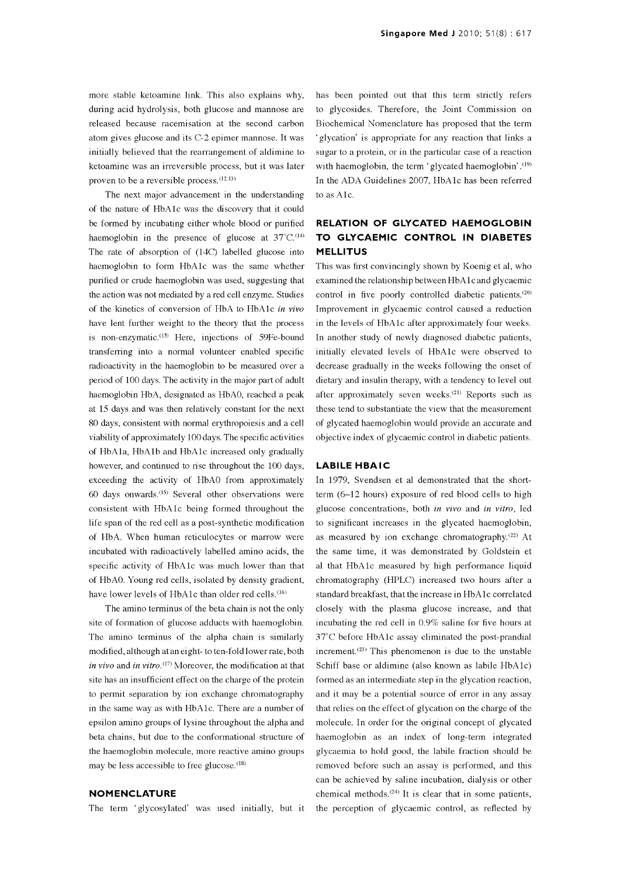more stable ketoamine link. This also explains why, during acid hydrolysis, both glucose and mannose are released because racemisation at the second carbon atom gives glucose and its C-2 epimer mannose. It was initially believed that the rearrangement of aldimine to ketoamine was an irreversible process, but it was later proven to be a reversible process. $(12,13)$ 

The next major advancement in the understanding of the nature of HbAlc was the discovery that it could be formed by incubating either whole blood or purified haemoglobin in the presence of glucose at  $37^{\circ}$ C.<sup>(14)</sup> The rate of absorption of (14C) labelled glucose into haemoglobin to form HbAlc was the same whether purified or crude haemoglobin was used, suggesting that the action was not mediated by a red cell enzyme. Studies of the kinetics of conversion of HbA to HbAlc in vivo have lent further weight to the theory that the process is non-enzymatic.<sup>(15)</sup> Here, injections of 59Fe-bound transferring into a normal volunteer enabled specific radioactivity in the haemoglobin to be measured over a period of 100 days. The activity in the major part of adult haemoglobin HbA, designated as HbAO, reached a peak at 15 days and was then relatively constant for the next 80 days, consistent with normal erythropoiesis and a cell viability of approximately 100 days. The specific activities of HbAla, HbAlb and HbAlc increased only gradually however, and continued to rise throughout the 100 days, exceeding the activity of HbAO from approximately <sup>60</sup>days onwards.(15) Several other observations were consistent with HbA lc being formed throughout the life span of the red cell as a post -synthetic modification of HbA. When human reticulocytes or marrow were incubated with radioactively labelled amino acids, the specific activity of HbA1c was much lower than that of HbAO. Young red cells, isolated by density gradient, have lower levels of HbA1c than older red cells.<sup>(16)</sup>

The amino terminus of the beta chain is not the only site of formation of glucose adducts with haemoglobin. The amino terminus of the alpha chain is similarly modified, although at an eight- to ten -fold lower rate, both in vivo and in vitro.<sup>(17)</sup> Moreover, the modification at that site has an insufficient effect on the charge of the protein to permit separation by ion exchange chromatography in the same way as with HbAlc. There are a number of epsilon amino groups of lysine throughout the alpha and beta chains, but due to the conformational structure of the haemoglobin molecule, more reactive amino groups may be less accessible to free glucose.<sup>(18)</sup>

## **NOMENCLATURE**

The term 'glycosylated' was used initially, but it

has been pointed out that this term strictly refers to glycosides. Therefore, the Joint Commission on Biochemical Nomenclature has proposed that the term glycation' is appropriate for any reaction that links a sugar to a protein, or in the particular case of a reaction with haemoglobin, the term 'glycated haemoglobin'.<sup>(19)</sup> In the ADA Guidelines 2007, HbA lc has been referred to as Alc.

# RELATION OF GLYCATED HAEMOGLOBIN TO GLYCAEMIC CONTROL IN DIABETES MELLITUS

This was first convincingly shown by Koenig et al, who examined the relationship between HbAlc and glycaemic control in five poorly controlled diabetic patients.<sup>(20)</sup> Improvement in glycaemic control caused a reduction in the levels of HbAlc after approximately four weeks. In another study of newly diagnosed diabetic patients, initially elevated levels of HbAlc were observed to decrease gradually in the weeks following the onset of dietary and insulin therapy, with a tendency to level out after approximately seven weeks.(21) Reports such as these tend to substantiate the view that the measurement of glycated haemoglobin would provide an accurate and objective index of glycaemic control in diabetic patients.

## LABILE HBAIC

In 1979, Svendsen et al demonstrated that the shortterm (6-12 hours) exposure of red blood cells to high glucose concentrations, both in vivo and in vitro, led to significant increases in the glycated haemoglobin, as measured by ion exchange chromatography.<sup>(22)</sup> At the same time, it was demonstrated by Goldstein et al that HbA lc measured by high performance liquid chromatography (HPLC) increased two hours after a standard breakfast, that the increase in HbAlc correlated closely with the plasma glucose increase, and that incubating the red cell in 0.9% saline for five hours at  $37^{\circ}$ C before HbA1c assay eliminated the post-prandial increment.<sup> $(23)$ </sup> This phenomenon is due to the unstable Schiff base or aldimine (also known as labile HbAlc) formed as an intermediate step in the glycation reaction, and it may be a potential source of error in any assay that relies on the effect of glycation on the charge of the molecule. In order for the original concept of glycated haemoglobin as an index of long-term integrated glycaemia to hold good, the labile fraction should be removed before such an assay is performed, and this can be achieved by saline incubation, dialysis or other chemical methods.<sup> $(24)$ </sup> It is clear that in some patients, the perception of glycaemic control, as reflected by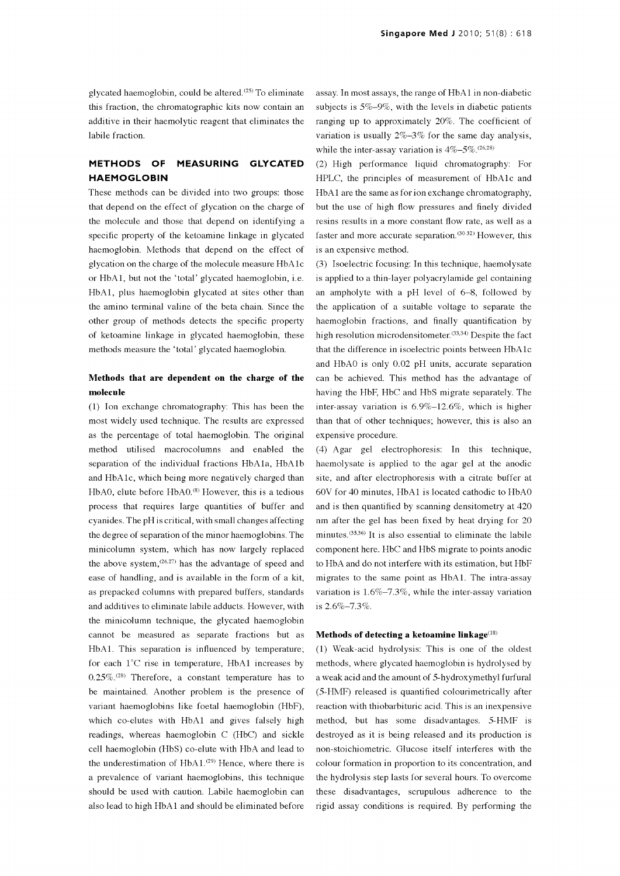glycated haemoglobin, could be altered.<sup> $(25)$ </sup> To eliminate this fraction, the chromatographic kits now contain an additive in their haemolytic reagent that eliminates the labile fraction.

## METHODS OF MEASURING GLYCATED HAEMOGLOBIN

These methods can be divided into two groups: those that depend on the effect of glycation on the charge of the molecule and those that depend on identifying a specific property of the ketoamine linkage in glycated haemoglobin. Methods that depend on the effect of glycation on the charge of the molecule measure HbA lc or HbA1, but not the 'total' glycated haemoglobin, i.e. HbA1, plus haemoglobin glycated at sites other than the amino terminal valine of the beta chain. Since the other group of methods detects the specific property of ketoamine linkage in glycated haemoglobin, these methods measure the 'total' glycated haemoglobin.

## Methods that are dependent on the charge of the molecule

(1) Ion exchange chromatography: This has been the most widely used technique. The results are expressed as the percentage of total haemoglobin. The original method utilised macrocolumns and enabled the separation of the individual fractions HbAla, HbA lb and HbAlc, which being more negatively charged than HbAO, elute before HbAO.<sup>(8)</sup> However, this is a tedious process that requires large quantities of buffer and cyanides. The pH is critical, with small changes affecting the degree of separation of the minor haemoglobins. The minicolumn system, which has now largely replaced the above system,  $(26.27)$  has the advantage of speed and ease of handling, and is available in the form of a kit, as prepacked columns with prepared buffers, standards and additives to eliminate labile adducts. However, with the minicolumn technique, the glycated haemoglobin cannot be measured as separate fractions but as HbA1. This separation is influenced by temperature; for each 1°C rise in temperature, HbA1 increases by methods, where glycated haemoglobin is hydrolysed by  $0.25\%$ .<sup>(28)</sup> Therefore, a constant temperature has to be maintained. Another problem is the presence of variant haemoglobins like foetal haemoglobin (HbF), which co-elutes with HbA1 and gives falsely high readings, whereas haemoglobin C (HbC) and sickle cell haemoglobin (HbS) co -elute with HbA and lead to the underestimation of HbA1.<sup>(29)</sup> Hence, where there is colour formation in proportion to its concentration, and a prevalence of variant haemoglobins, this technique the hydrolysis step lasts for several hours. To overcom should be used with caution. Labile haemoglobin can also lead to high HbA1 and should be eliminated before

assay. In most assays, the range of HbA 1 in non -diabetic subjects is 5%-9%, with the levels in diabetic patients ranging up to approximately 20%. The coefficient of variation is usually  $2\% - 3\%$  for the same day analysis, while the inter-assay variation is  $4\% - 5\%$ .<sup>(26,28)</sup>

(2) High performance liquid chromatography: For HPLC, the principles of measurement of HbAlc and HbA1 are the same as for ion exchange chromatography, but the use of high flow pressures and finely divided resins results in a more constant flow rate, as well as a faster and more accurate separation.<sup> $(30-32)$ </sup> However, this is an expensive method.

(3) Isoelectric focusing: In this technique, haemolysate is applied to a thin-layer polyacrylamide gel containing an ampholyte with a pH level of 6-8, followed by the application of a suitable voltage to separate the haemoglobin fractions, and finally quantification by high resolution microdensitometer.<sup>(33,34)</sup> Despite the fact that the difference in isoelectric points between HbA lc and HbAO is only 0.02 pH units, accurate separation can be achieved. This method has the advantage of having the HbF, HbC and HbS migrate separately. The inter -assay variation is 6.9%-12.6%, which is higher than that of other techniques; however, this is also an expensive procedure.

(4) Agar gel electrophoresis: In this technique, haemolysate is applied to the agar gel at the anodic site, and after electrophoresis with a citrate buffer at 60V for 40 minutes, HbA1 is located cathodic to HbAO and is then quantified by scanning densitometry at 420 nm after the gel has been fixed by heat drying for 20 minutes.<sup> $(35,36)$ </sup> It is also essential to eliminate the labile component here. HbC and HbS migrate to points anodic to HbA and do not interfere with its estimation, but HbF migrates to the same point as HbA1. The intra-assay variation is 1.6%-7.3%, while the inter-assay variation is 2.6%-7.3%.

#### Methods of detecting a ketoamine linkage $^{(18)}$

(1) Weak -acid hydrolysis: This is one of the oldest a weak acid and the amount of 5-hydroxymethyl furfural (5-HMF) released is quantified colourimetrically after reaction with thiobarbituric acid. This is an inexpensive method, but has some disadvantages. 5-HMF is destroyed as it is being released and its production is non-stoichiometric. Glucose itself interferes with the colour formation in proportion to its concentration, and these disadvantages, scrupulous adherence to the rigid assay conditions is required. By performing the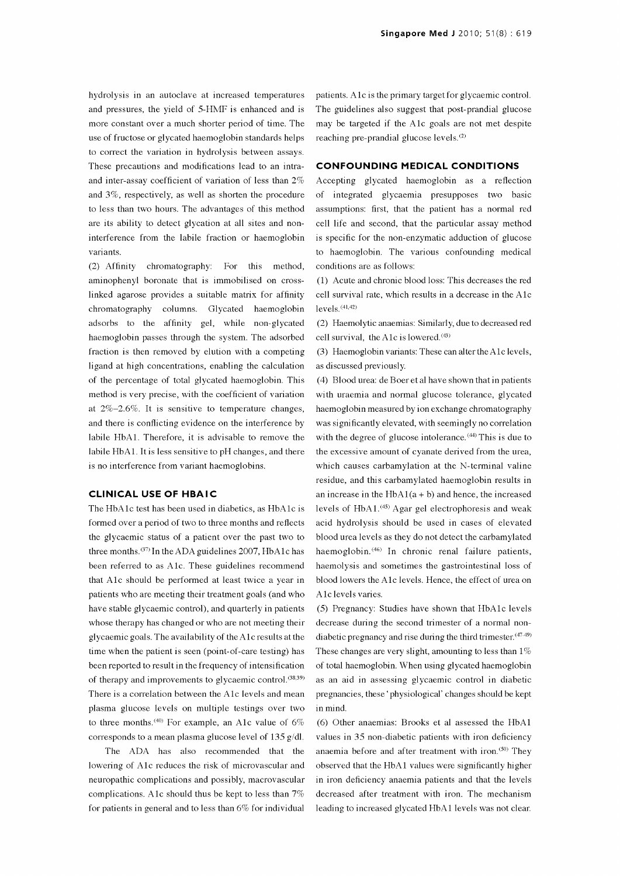hydrolysis in an autoclave at increased temperatures and pressures, the yield of 5-HMF is enhanced and is more constant over a much shorter period of time. The use of fructose or glycated haemoglobin standards helps to correct the variation in hydrolysis between assays. These precautions and modifications lead to an intraand inter -assay coefficient of variation of less than 2% and 3%, respectively, as well as shorten the procedure to less than two hours. The advantages of this method are its ability to detect glycation at all sites and non interference from the labile fraction or haemoglobin variants.

(2) Affinity chromatography: For this method, aminophenyl boronate that is immobilised on crosslinked agarose provides a suitable matrix for affinity chromatography columns. Glycated haemoglobin adsorbs to the affinity gel, while non-glycated haemoglobin passes through the system. The adsorbed fraction is then removed by elution with a competing ligand at high concentrations, enabling the calculation of the percentage of total glycated haemoglobin. This method is very precise, with the coefficient of variation at 2%-2.6%. It is sensitive to temperature changes, and there is conflicting evidence on the interference by labile HbA1. Therefore, it is advisable to remove the labile HbAl. It is less sensitive to pH changes, and there is no interference from variant haemoglobins.

#### **CLINICAL USE OF HBAIC**

The HbAlc test has been used in diabetics, as HbAlc is formed over a period of two to three months and reflects the glycaemic status of a patient over the past two to three months. (37) In the ADA guidelines 2007, HbAlc has been referred to as A1c. These guidelines recommend that A1c should be performed at least twice a year in patients who are meeting their treatment goals (and who have stable glycaemic control), and quarterly in patients whose therapy has changed or who are not meeting their glycaemic goals. The availability of the Alc results at the time when the patient is seen (point -of -care testing) has been reported to result in the frequency of intensification of therapy and improvements to glycaemic control.<sup>(38,39)</sup> There is a correlation between the A1c levels and mean plasma glucose levels on multiple testings over two to three months.<sup>(40)</sup> For example, an A1c value of  $6\%$ corresponds to a mean plasma glucose level of 135 g/dl.

The ADA has also recommended that the lowering of A1c reduces the risk of microvascular and neuropathic complications and possibly, macrovascular complications. A lc should thus be kept to less than 7% for patients in general and to less than 6% for individual

patients. A lc is the primary target for glycaemic control. The guidelines also suggest that post-prandial glucose may be targeted if the A lc goals are not met despite reaching pre-prandial glucose levels.<sup>(2)</sup>

## CONFOUNDING MEDICAL CONDITIONS

Accepting glycated haemoglobin as a reflection of integrated glycaemia presupposes two basic assumptions: first, that the patient has a normal red cell life and second, that the particular assay method is specific for the non -enzymatic adduction of glucose to haemoglobin. The various confounding medical conditions are as follows:

(1) Acute and chronic blood loss: This decreases the red cell survival rate, which results in a decrease in the A lc levels. (41,42)

(2) Haemolytic anaemias: Similarly, due to decreased red cell survival, the A lc is lowered. (43)

(3) Haemoglobin variants: These can alter the Alc levels, as discussed previously.

(4) Blood urea: de Boer et al have shown that in patients with uraemia and normal glucose tolerance, glycated haemoglobin measured by ion exchange chromatography was significantly elevated, with seemingly no correlation with the degree of glucose intolerance.<sup>(44)</sup> This is due to the excessive amount of cyanate derived from the urea, which causes carbamylation at the N-terminal valine residue, and this carbamylated haemoglobin results in an increase in the  $HbA1(a + b)$  and hence, the increased levels of  $HbA1$ .<sup>(45)</sup> Agar gel electrophoresis and weak acid hydrolysis should be used in cases of elevated blood urea levels as they do not detect the carbamylated haemoglobin.<sup>(46)</sup> In chronic renal failure patients, haemolysis and sometimes the gastrointestinal loss of blood lowers the A lc levels. Hence, the effect of urea on A lc levels varies.

(5) Pregnancy: Studies have shown that HbAlc levels decrease during the second trimester of a normal nondiabetic pregnancy and rise during the third trimester. (47.49) These changes are very slight, amounting to less than 1% of total haemoglobin. When using glycated haemoglobin as an aid in assessing glycaemic control in diabetic pregnancies, these `physiological' changes should be kept in mind.

(6) Other anaemias: Brooks et al assessed the HbA1 values in 35 non-diabetic patients with iron deficiency anaemia before and after treatment with iron. $(50)$  They observed that the HbAl values were significantly higher in iron deficiency anaemia patients and that the levels decreased after treatment with iron. The mechanism leading to increased glycated HbAl levels was not clear.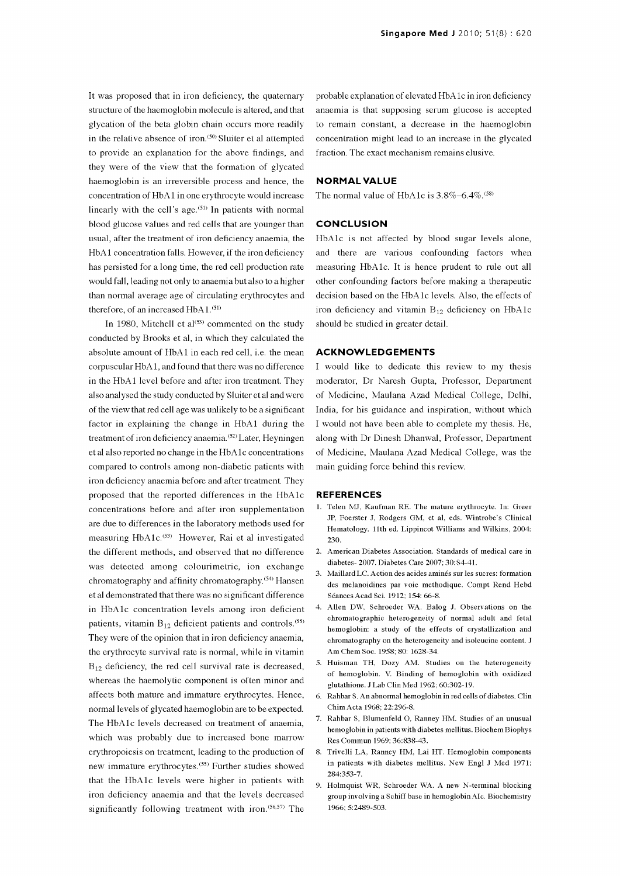It was proposed that in iron deficiency, the quaternary structure of the haemoglobin molecule is altered, and that glycation of the beta globin chain occurs more readily in the relative absence of iron.<sup>(50)</sup> Sluiter et al attempted to provide an explanation for the above findings, and they were of the view that the formation of glycated haemoglobin is an irreversible process and hence, the concentration of HbA 1 in one erythrocyte would increase linearly with the cell's age. $(51)$  In patients with normal blood glucose values and red cells that are younger than usual, after the treatment of iron deficiency anaemia, the HbAl concentration falls. However, if the iron deficiency has persisted for a long time, the red cell production rate would fall, leading not only to anaemia but also to a higher than normal average age of circulating erythrocytes and therefore, of an increased  $HbA1$ .<sup> $(51)$ </sup>

In 1980, Mitchell et  $al^{(53)}$  commented on the study conducted by Brooks et al, in which they calculated the absolute amount of HbA1 in each red cell, i.e. the mean corpuscular HbA 1, and found that there was no difference in the HbA1 level before and after iron treatment. They also analysed the study conducted by Sluiter et al and were of the view that red cell age was unlikely to be a significant factor in explaining the change in HbA1 during the treatment of iron deficiency anaemia. (52) Later, Heyningen et al also reported no change in the HbAlc concentrations compared to controls among non -diabetic patients with iron deficiency anaemia before and after treatment. They proposed that the reported differences in the HbA lc concentrations before and after iron supplementation are due to differences in the laboratory methods used for measuring  $HbA1c^{(53)}$  However, Rai et al investigated the different methods, and observed that no difference was detected among colourimetric, ion exchange chromatography and affinity chromatography.<sup>(54)</sup> Hansen et al demonstrated that there was no significant difference in HbA lc concentration levels among iron deficient patients, vitamin  $B_{12}$  deficient patients and controls.<sup>(55)</sup> They were of the opinion that in iron deficiency anaemia, the erythrocyte survival rate is normal, while in vitamin  $B_{12}$  deficiency, the red cell survival rate is decreased, whereas the haemolytic component is often minor and affects both mature and immature erythrocytes. Hence, normal levels of glycated haemoglobin are to be expected. The HbAlc levels decreased on treatment of anaemia, which was probably due to increased bone marrow erythropoiesis on treatment, leading to the production of new immature erythrocytes.<sup>(55)</sup> Further studies showed that the HbA1c levels were higher in patients with iron deficiency anaemia and that the levels decreased significantly following treatment with iron.<sup>(56,57)</sup> The

probable explanation of elevated HbA lc in iron deficiency anaemia is that supposing serum glucose is accepted to remain constant, a decrease in the haemoglobin concentration might lead to an increase in the glycated fraction. The exact mechanism remains elusive.

### NORMAL VALUE

The normal value of HbA1c is  $3.8\%$ –6.4%.<sup>(58)</sup>

## **CONCLUSION**

HbA1c is not affected by blood sugar levels alone, and there are various confounding factors when measuring HbAlc. It is hence prudent to rule out all other confounding factors before making a therapeutic decision based on the HbA lc levels. Also, the effects of iron deficiency and vitamin  $B_{12}$  deficiency on HbA1c should be studied in greater detail.

## ACKNOWLEDGEMENTS

<sup>I</sup>would like to dedicate this review to my thesis moderator, Dr Naresh Gupta, Professor, Department of Medicine, Maulana Azad Medical College, Delhi, India, for his guidance and inspiration, without which <sup>I</sup>would not have been able to complete my thesis. He, along with Dr Dinesh Dhanwal, Professor, Department of Medicine, Maulana Azad Medical College, was the main guiding force behind this review.

#### **REFERENCES**

- 1. Telen MJ, Kaufman RE. The mature erythrocyte. In: Greer JP, Foerster J, Rodgers GM, et al, eds. Wintrobe's Clinical Hematology. 11th ed. Lippincot Williams and Wilkins, 2004: 230.
- 2. American Diabetes Association. Standards of medical care in diabetes- 2007. Diabetes Care 2007; 30:S4-41.
- 3. Maillard LC. Action des acides amines sur les sucres: formation des melanoidines par v oie methodique. Compt Rend Hebd Seances Acad Sci. 1912; 154: 66-8.
- 4. Allen DW, Schroeder WA, Balog J. Observations on the chromatographic heterogeneity of normal adult and fetal hemoglobin: a study of the effects of crystallization and chromatography on the heterogeneity and isoleucine content. J Am Chem Soc. 1958; 80: 1628-34.
- 5. Huisman TH, Dozy AM. Studies on the heterogeneity of hemoglobin. V. Binding of hemoglobin with oxidized glutathione. J Lab Clin Med 1962; 60:302-19.
- 6. Rahbar S. An abnormal hemoglobin in red cells of diabetes. Clin Chim Acta 1968; 22:296-8.
- 7. Rahbar S, Blumenfeld 0, Ranney HM. Studies of an unusual hemoglobin in patients with diabetes mellitus. Biochem Biophys Res Commun 1969; 36:838-43.
- 8. Trivelli LA, Ranney HM, Lai HT. Hemoglobin components in patients with diabetes mellitus. New Engl J Med 1971; 284:353-7.
- 9. Holmquist WR, Schroeder WA. A new N -terminal blocking group involving a Schiff base in hemoglobin AIc. Biochemistry 1966; 5:2489-503.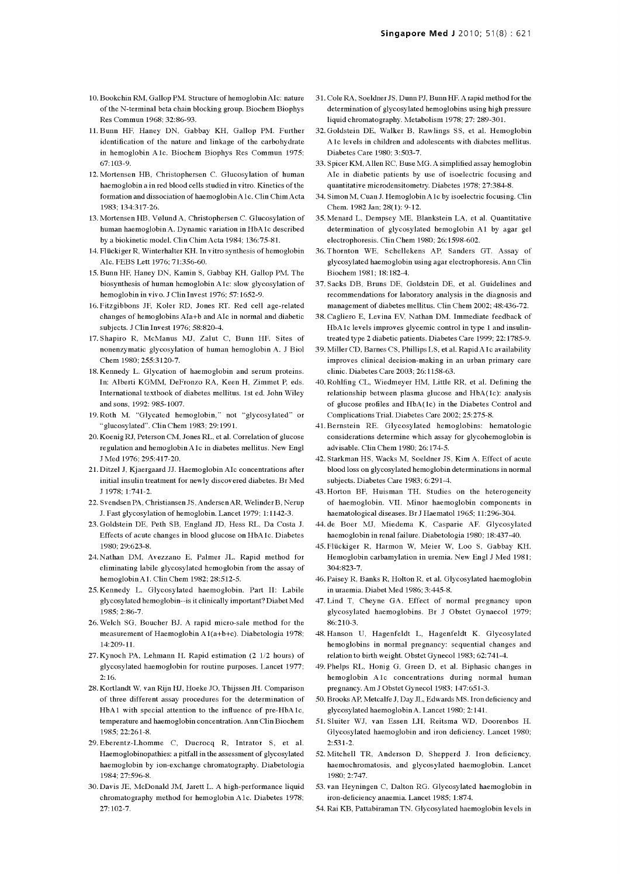- 10. Bookchin RM, Gallop PM. Structure of hemoglobin AIc: nature of the N -terminal beta chain blocking group. Biochem Biophys Res Commun 1968; 32:86-93.
- 11. Bunn HF, Haney DN, Gabbay KH, Gallop PM. Further identification of the nature and linkage of the carbohydrate in hemoglobin A lc. Biochem Biophys Res Commun 1975; 67:103-9.
- 12. Mortensen HB, Christophersen C. Glucosylation of human haemoglobin a in red blood cells studied in vitro. Kinetics of the formation and dissociation of haemoglobin A lc. Clin Chim Acta 1983; 134:317-26.
- 13. Mortensen HB, Vølund A, Christophersen C. Glucosylation of human haemoglobin A. Dynamic variation in HbAlc described by a biokinetic model. Clin Chim Acta 1984; 136:75-81.
- 14. Flückiger R, Winterhalter KH. In vitro synthesis of hemoglobin AIc. FEBS Lett 1976; 71:356-60.
- 15. Bunn HF, Haney DN, Kamin S, Gabbay KH, Gallop PM. The biosynthesis of human hemoglobin A lc: slow glycosylation of hemoglobin in vivo. J Clin Invest 1976; 57:1652-9.
- 16. Fitzgibbons JF, Koler RD, Jones RT. Red cell age-related changes of hemoglobins AIa+b and AIc in normal and diabetic subjects. J Clin Invest 1976; 58:820-4.
- 17. Shapiro R, McManus MJ, Zalut C, Bunn HF. Sites of nonenzymatic glycosylation of human hemoglobin A. J Biol Chem 1980; 255:3120-7.
- 18. Kennedy L. Glycation of haemoglobin and serum proteins. In: Alberti KGMM, DeFronzo RA, Keen H, Zimmet P, eds. International textbook of diabetes mellitus. 1st ed. John Wiley and sons, 1992: 985-1007.
- 19. Roth M. "Glycated hemoglobin," not "glycosylated" or ' glucosylated". Clin Chem 1983; 29:1991.
- 20. Koenig RJ, Peterson CM, Jones RL, et al. Correlation of glucose regulation and hemoglobin A lc in diabetes mellitus. New Engl J Med 1976; 295:417-20.
- 21. Ditzel J, Kjaergaard JJ. Haemoglobin AIc concentrations after initial insulin treatment for newly discovered diabetes. Br Med J 1978; 1:741-2.
- 22. Svendsen PA, Christiansen JS, Andersen AR, Welinder B, Nerup J. Fast glycosylation of hemoglobin. Lancet 1979; 1:1142-3.
- 23. Goldstein DE, Peth SB, England JD, Hess RL, Da Costa J. Effects of acute changes in blood glucose on HbAlc. Diabetes 1980; 29:623-8.
- 24. Nathan DM, Av ezzano E, Palmer JL. Rapid method for eliminating labile glycosylated hemoglobin from the assay of hemoglobin Al. Clin Chem 1982; 28:512-5.
- 25. Kennedy L. Glycosylated haemoglobin. Part II: Labile glycosylated hemoglobin --is it clinically important? Diabet Med 1985; 2:86-7.
- 26. Welch SG, Boucher BJ. A rapid micro -sale method for the measurement of Haemoglobin A1(a+b+c). Diabetologia 1978; 14:209-11.
- 27. Kynoch PA, Lehmann H. Rapid estimation (2 1/2 hours) of glycosylated haemoglobin for routine purposes. Lancet 1977; 2:16.
- 28. Kortlandt W, van Rijn HJ, Hoeke JO, Thijssen JH. Comparison of three different assay procedures for the determination of HbA1 with special attention to the influence of pre-HbA1c, temperature and haemoglobin concentration. Ann Clin Biochem 1985; 22:261-8.
- 29. Eberentz-Lhomme C, Ducrocq R, Intrator S, et al. Haemoglobinopathies: a pitfall in the assessment of glycosylated haemoglobin by ion -exchange chromatography. Diabetologia 1984; 27:596-8.
- 30. Davis JE, McDonald JM, Jarett L. A high-performance liquid chromatography method for hemoglobin A lc. Diabetes 1978; 27:102-7.
- 31. Cole RA, Soeldner JS, Dunn PJ, Bunn HF. A rapid method for the determination of glycosylated hemoglobins using high pressure liquid chromatography. Metabolism 1978; 27: 289-301.
- 32. Goldstein DE, Walker B, Rawlings SS, et al. Hemoglobin A lc levels in children and adolescents with diabetes mellitus. Diabetes Care 1980; 3:503-7.
- 33. Spicer KM, Allen RC, Buse MG. A simplified assay hemoglobin AIc in diabetic patients by use of isoelectric focusing and quantitative microdensitometry. Diabetes 1978; 27:384-8.
- 34. Simon M, Cuan J. Hemoglobin Alc by isoelectric focusing. Clin Chem. 1982 Jan; 28(1): 9-12.
- 35. Menard L, Dempsey ME, Blankstein LA, et al. Quantitative determination of glycosylated hemoglobin Al by agar gel electrophoresis. Clin Chem 1980; 26:1598-602.
- 36. Thornton WE, Schellekens AP, Sanders GT. Assay of glycosylated haemoglobin using agar electrophoresis. Ann Clin Biochem 1981; 18:182-4.
- 37. Sacks DB, Bruns DE, Goldstein DE, et al. Guidelines and recommendations for laboratory analysis in the diagnosis and management of diabetes mellitus. Clin Chem 2002; 48:436-72.
- 38. Cagliero E, Levina EV, Nathan DM. Immediate feedback of HbA1c levels improves glycemic control in type 1 and insulintreated type 2 diabetic patients. Diabetes Care 1999; 22:1785-9.
- 39. Miller CD, Barnes CS, Phillips LS, et al. Rapid Alc availability improves clinical decision -making in an urban primary care clinic. Diabetes Care 2003; 26:1158-63.
- 40. Rohlfing CL, Wiedmeyer HM, Little RR, et al. Defining the relationship between plasma glucose and HbA(1c): analysis of glucose profiles and HbA(1c) in the Diabetes Control and Complications Trial. Diabetes Care 2002; 25:275-8.
- 41. Bernstein RE. Glycosylated hemoglobins: hematologic considerations determine which assay for glycohemoglobin is advisable. Clin Chem 1980; 26:174-5.
- 42. Starkman HS, Wacks M, Soeldner JS, Kim A. Effect of acute blood loss on glycosylated hemoglobin determinations in normal subjects. Diabetes Care 1983; 6:291-4.
- 43. Horton BF, Huisman TH. Studies on the heterogeneity of haemoglobin. VII. Minor haemoglobin components in haematological diseases. Br J Haematol 1965; 11:296-304.
- 44. de Boer MJ, Miedema K, Casparie AF. Glycosylated haemoglobin in renal failure. Diabetologia 1980; 18:437-40.
- 45. Fliickiger R, Harmon W, Meier W, Loo S, Gabbay KH. Hemoglobin carbamylation in uremia. New Engl J Med 1981; 304:823-7.
- 46. Paisey R, Banks R, Holton R, et al. Glycosylated haemoglobin in uraemia. Diabet Med 1986; 3:445-8.
- 47. Lind T, Cheyne GA. Effect of normal pregnancy upon glycosylated haemoglobins. Br J Obstet Gynaecol 1979; 86:210-3.
- 48. Hanson U, Hagenfeldt L, Hagenfeldt K. Glycosylated hemoglobins in normal pregnancy: sequential changes and relation to birth weight. Obstet Gynecol 1983; 62:741-4.
- 49. Phelps RL, Honig G, Green D, et al. Biphasic changes in hemoglobin A lc concentrations during normal human pregnancy. Am J Obstet Gynecol 1983; 147:651-3.
- 50. Brooks AP, Metcalfe J, Day JL, Edwards MS. Iron deficiency and glycosylated haemoglobin A. Lancet 1980; 2:141.
- 51. Sluiter WJ, van Essen LH, Reitsma WD, Doorenbos H. Glycosylated haemoglobin and iron deficiency. Lancet 1980; 2:531-2.
- 52. Mitchell TR, Anderson D, Shepperd J. Iron deficiency, haemochromatosis, and glycosylated haemoglobin. Lancet 1980; 2:747.
- 53. van Heyningen C, Dalton RG. Glycosylated haemoglobin in iron -deficiency anaemia. Lancet 1985; 1:874.
- 54. Rai KB, Pattabiraman TN. Glycosylated haemoglobin levels in